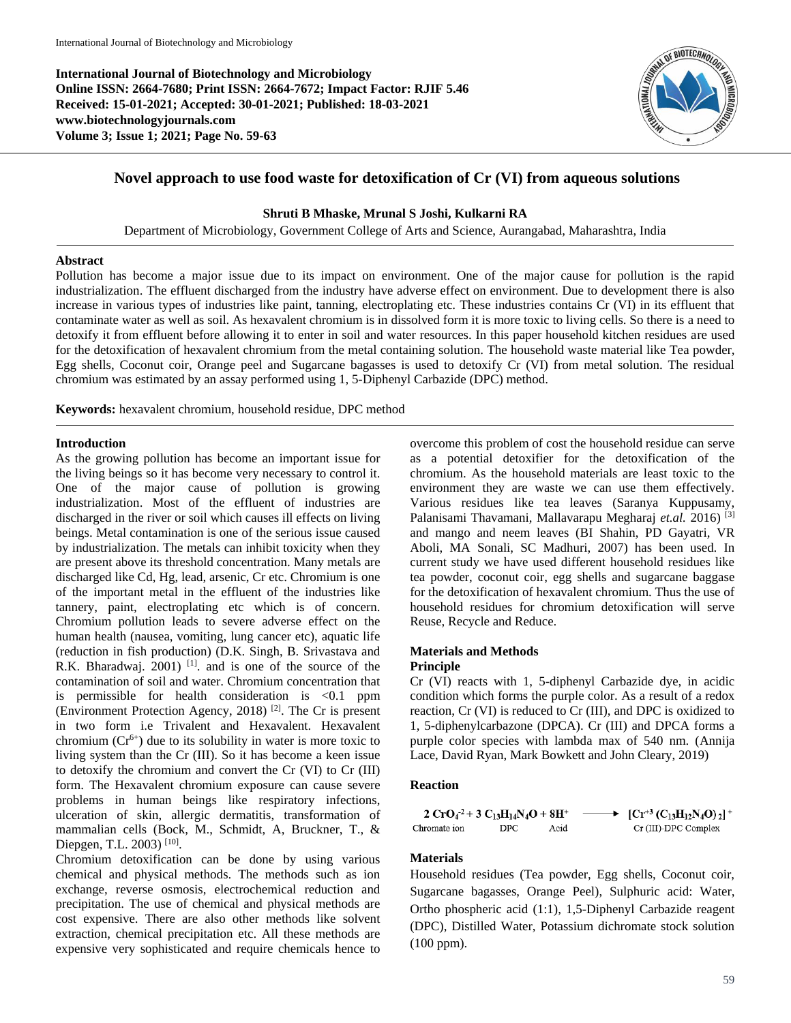**International Journal of Biotechnology and Microbiology Online ISSN: 2664-7680; Print ISSN: 2664-7672; Impact Factor: RJIF 5.46 Received: 15-01-2021; Accepted: 30-01-2021; Published: 18-03-2021 www.biotechnologyjournals.com Volume 3; Issue 1; 2021; Page No. 59-63**



# **Novel approach to use food waste for detoxification of Cr (VI) from aqueous solutions**

### **Shruti B Mhaske, Mrunal S Joshi, Kulkarni RA**

Department of Microbiology, Government College of Arts and Science, Aurangabad, Maharashtra, India

#### **Abstract**

Pollution has become a major issue due to its impact on environment. One of the major cause for pollution is the rapid industrialization. The effluent discharged from the industry have adverse effect on environment. Due to development there is also increase in various types of industries like paint, tanning, electroplating etc. These industries contains Cr (VI) in its effluent that contaminate water as well as soil. As hexavalent chromium is in dissolved form it is more toxic to living cells. So there is a need to detoxify it from effluent before allowing it to enter in soil and water resources. In this paper household kitchen residues are used for the detoxification of hexavalent chromium from the metal containing solution. The household waste material like Tea powder, Egg shells, Coconut coir, Orange peel and Sugarcane bagasses is used to detoxify Cr (VI) from metal solution. The residual chromium was estimated by an assay performed using 1, 5-Diphenyl Carbazide (DPC) method.

**Keywords:** hexavalent chromium, household residue, DPC method

#### **Introduction**

As the growing pollution has become an important issue for the living beings so it has become very necessary to control it. One of the major cause of pollution is growing industrialization. Most of the effluent of industries are discharged in the river or soil which causes ill effects on living beings. Metal contamination is one of the serious issue caused by industrialization. The metals can inhibit toxicity when they are present above its threshold concentration. Many metals are discharged like Cd, Hg, lead, arsenic, Cr etc. Chromium is one of the important metal in the effluent of the industries like tannery, paint, electroplating etc which is of concern. Chromium pollution leads to severe adverse effect on the human health (nausea, vomiting, lung cancer etc), aquatic life (reduction in fish production) (D.K. Singh, B. Srivastava and R.K. Bharadwaj.  $2001$ ) <sup>[1]</sup>, and is one of the source of the contamination of soil and water. Chromium concentration that is permissible for health consideration is <0.1 ppm (Environment Protection Agency, 2018) [2] . The Cr is present in two form i.e Trivalent and Hexavalent. Hexavalent chromium  $(Cr^{6+})$  due to its solubility in water is more toxic to living system than the Cr (III). So it has become a keen issue to detoxify the chromium and convert the Cr (VI) to Cr (III) form. The Hexavalent chromium exposure can cause severe problems in human beings like respiratory infections, ulceration of skin, allergic dermatitis, transformation of mammalian cells (Bock, M., Schmidt, A, Bruckner, T., & Diepgen, T.L. 2003)<sup>[10]</sup>.

Chromium detoxification can be done by using various chemical and physical methods. The methods such as ion exchange, reverse osmosis, electrochemical reduction and precipitation. The use of chemical and physical methods are cost expensive. There are also other methods like solvent extraction, chemical precipitation etc. All these methods are expensive very sophisticated and require chemicals hence to overcome this problem of cost the household residue can serve as a potential detoxifier for the detoxification of the chromium. As the household materials are least toxic to the environment they are waste we can use them effectively. Various residues like tea leaves (Saranya Kuppusamy, Palanisami Thavamani, Mallavarapu Megharaj *et.al.* 2016) [3] and mango and neem leaves (BI Shahin, PD Gayatri, VR Aboli, MA Sonali, SC Madhuri, 2007) has been used. In current study we have used different household residues like tea powder, coconut coir, egg shells and sugarcane baggase for the detoxification of hexavalent chromium. Thus the use of household residues for chromium detoxification will serve Reuse, Recycle and Reduce.

#### **Materials and Methods Principle**

Cr (VI) reacts with 1, 5-diphenyl Carbazide dye, in acidic condition which forms the purple color. As a result of a redox reaction, Cr (VI) is reduced to Cr (III), and DPC is oxidized to 1, 5-diphenylcarbazone (DPCA). Cr (III) and DPCA forms a purple color species with lambda max of 540 nm. (Annija Lace, David Ryan, Mark Bowkett and John Cleary, 2019)

#### **Reaction**

 $2 CrO<sub>4</sub><sup>-2</sup> + 3 C<sub>13</sub>H<sub>14</sub>N<sub>4</sub>O + 8H<sup>+</sup>$  $\blacktriangleright$  [Cr<sup>+3</sup> (C<sub>13</sub>H<sub>12</sub>N<sub>4</sub>O)<sub>2</sub>]<sup>+</sup> Chromate ion  $_{\rm DPC}$ Acid Cr (III)-DPC Complex

### **Materials**

Household residues (Tea powder, Egg shells, Coconut coir, Sugarcane bagasses, Orange Peel), Sulphuric acid: Water, Ortho phospheric acid (1:1), 1,5-Diphenyl Carbazide reagent (DPC), Distilled Water, Potassium dichromate stock solution (100 ppm).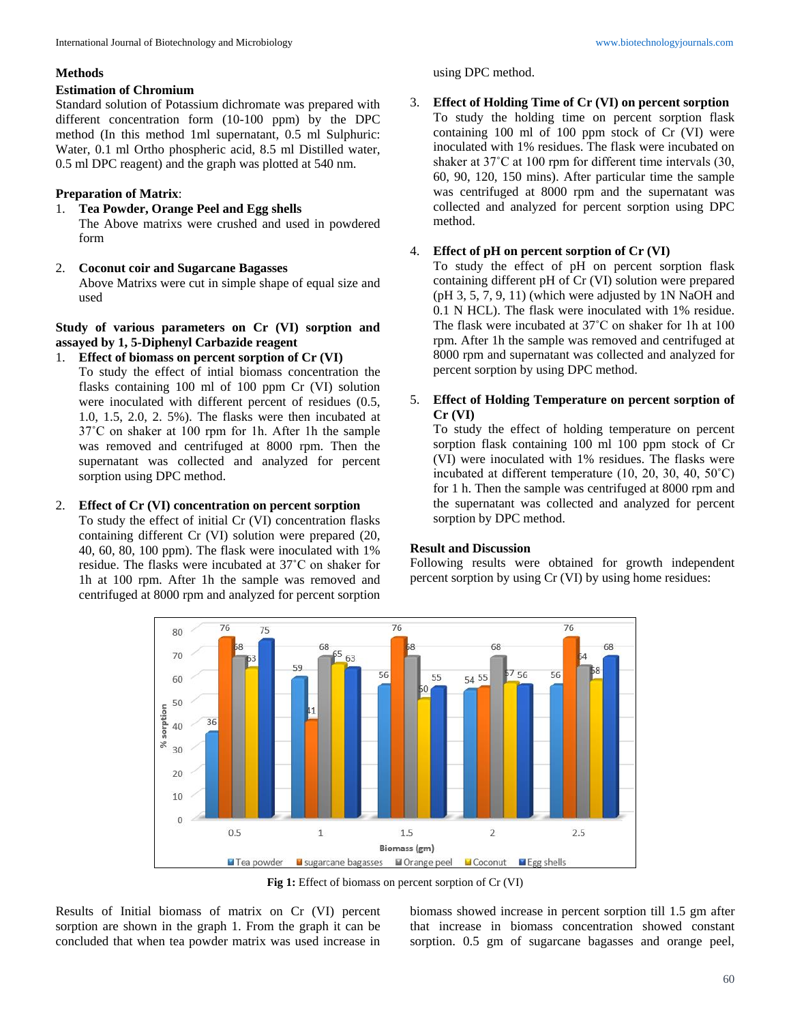### **Methods**

### **Estimation of Chromium**

Standard solution of Potassium dichromate was prepared with different concentration form (10-100 ppm) by the DPC method (In this method 1ml supernatant, 0.5 ml Sulphuric: Water, 0.1 ml Ortho phospheric acid, 8.5 ml Distilled water, 0.5 ml DPC reagent) and the graph was plotted at 540 nm.

### **Preparation of Matrix**:

- 1. **Tea Powder, Orange Peel and Egg shells** The Above matrixs were crushed and used in powdered
- form 2. **Coconut coir and Sugarcane Bagasses**

Above Matrixs were cut in simple shape of equal size and used

**Study of various parameters on Cr (VI) sorption and assayed by 1, 5-Diphenyl Carbazide reagent**

### 1. **Effect of biomass on percent sorption of Cr (VI)**

To study the effect of intial biomass concentration the flasks containing 100 ml of 100 ppm Cr (VI) solution were inoculated with different percent of residues (0.5, 1.0, 1.5, 2.0, 2. 5%). The flasks were then incubated at 37˚C on shaker at 100 rpm for 1h. After 1h the sample was removed and centrifuged at 8000 rpm. Then the supernatant was collected and analyzed for percent sorption using DPC method.

### 2. **Effect of Cr (VI) concentration on percent sorption**

To study the effect of initial Cr (VI) concentration flasks containing different Cr (VI) solution were prepared (20, 40, 60, 80, 100 ppm). The flask were inoculated with 1% residue. The flasks were incubated at 37˚C on shaker for 1h at 100 rpm. After 1h the sample was removed and centrifuged at 8000 rpm and analyzed for percent sorption

using DPC method.

# 3. **Effect of Holding Time of Cr (VI) on percent sorption** To study the holding time on percent sorption flask

containing 100 ml of 100 ppm stock of Cr (VI) were inoculated with 1% residues. The flask were incubated on shaker at 37˚C at 100 rpm for different time intervals (30, 60, 90, 120, 150 mins). After particular time the sample was centrifuged at 8000 rpm and the supernatant was collected and analyzed for percent sorption using DPC method.

## 4. **Effect of pH on percent sorption of Cr (VI)**

To study the effect of pH on percent sorption flask containing different pH of Cr (VI) solution were prepared (pH 3, 5, 7, 9, 11) (which were adjusted by 1N NaOH and 0.1 N HCL). The flask were inoculated with 1% residue. The flask were incubated at 37˚C on shaker for 1h at 100 rpm. After 1h the sample was removed and centrifuged at 8000 rpm and supernatant was collected and analyzed for percent sorption by using DPC method.

### 5. **Effect of Holding Temperature on percent sorption of Cr (VI)**

To study the effect of holding temperature on percent sorption flask containing 100 ml 100 ppm stock of Cr (VI) were inoculated with 1% residues. The flasks were incubated at different temperature (10, 20, 30, 40, 50˚C) for 1 h. Then the sample was centrifuged at 8000 rpm and the supernatant was collected and analyzed for percent sorption by DPC method.

## **Result and Discussion**

Following results were obtained for growth independent percent sorption by using Cr (VI) by using home residues:



**Fig 1:** Effect of biomass on percent sorption of Cr (VI)

Results of Initial biomass of matrix on Cr (VI) percent sorption are shown in the graph 1. From the graph it can be concluded that when tea powder matrix was used increase in

biomass showed increase in percent sorption till 1.5 gm after that increase in biomass concentration showed constant sorption. 0.5 gm of sugarcane bagasses and orange peel,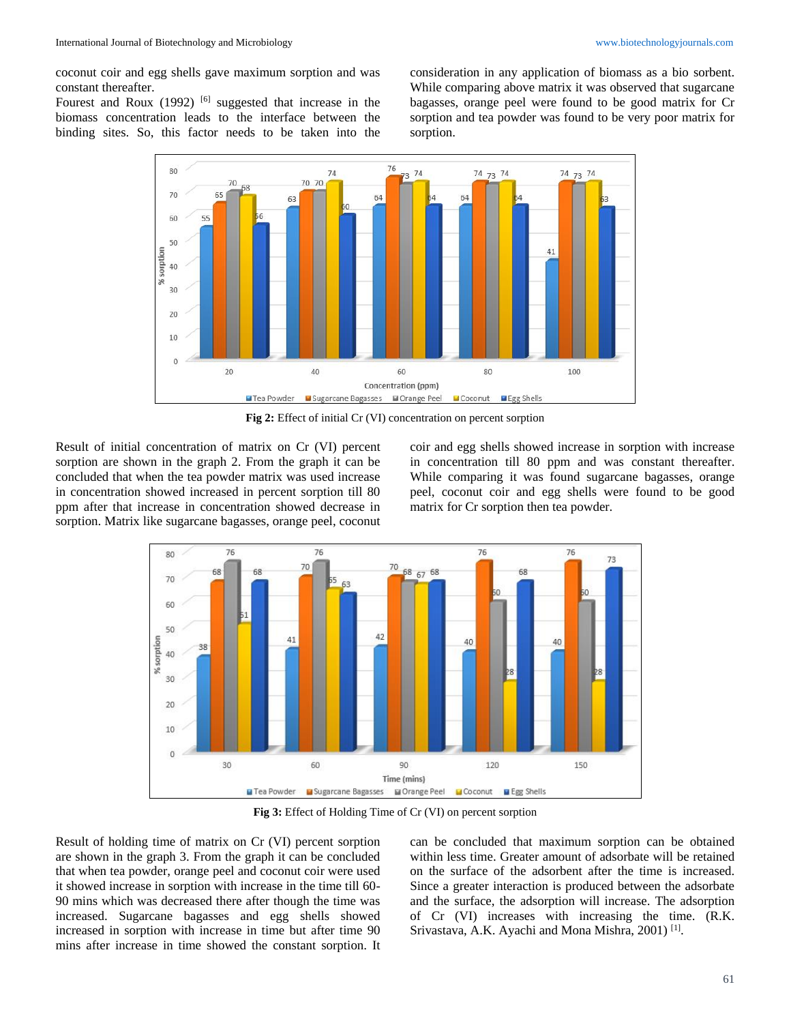coconut coir and egg shells gave maximum sorption and was constant thereafter.

Fourest and Roux  $(1992)$  <sup>[6]</sup> suggested that increase in the biomass concentration leads to the interface between the binding sites. So, this factor needs to be taken into the consideration in any application of biomass as a bio sorbent. While comparing above matrix it was observed that sugarcane bagasses, orange peel were found to be good matrix for Cr sorption and tea powder was found to be very poor matrix for sorption.



Fig 2: Effect of initial Cr (VI) concentration on percent sorption

Result of initial concentration of matrix on Cr (VI) percent sorption are shown in the graph 2. From the graph it can be concluded that when the tea powder matrix was used increase in concentration showed increased in percent sorption till 80 ppm after that increase in concentration showed decrease in sorption. Matrix like sugarcane bagasses, orange peel, coconut

coir and egg shells showed increase in sorption with increase in concentration till 80 ppm and was constant thereafter. While comparing it was found sugarcane bagasses, orange peel, coconut coir and egg shells were found to be good matrix for Cr sorption then tea powder.



**Fig 3:** Effect of Holding Time of Cr (VI) on percent sorption

Result of holding time of matrix on Cr (VI) percent sorption are shown in the graph 3. From the graph it can be concluded that when tea powder, orange peel and coconut coir were used it showed increase in sorption with increase in the time till 60- 90 mins which was decreased there after though the time was increased. Sugarcane bagasses and egg shells showed increased in sorption with increase in time but after time 90 mins after increase in time showed the constant sorption. It can be concluded that maximum sorption can be obtained within less time. Greater amount of adsorbate will be retained on the surface of the adsorbent after the time is increased. Since a greater interaction is produced between the adsorbate and the surface, the adsorption will increase. The adsorption of Cr (VI) increases with increasing the time. (R.K. Srivastava, A.K. Ayachi and Mona Mishra, 2001)<sup>[1]</sup>.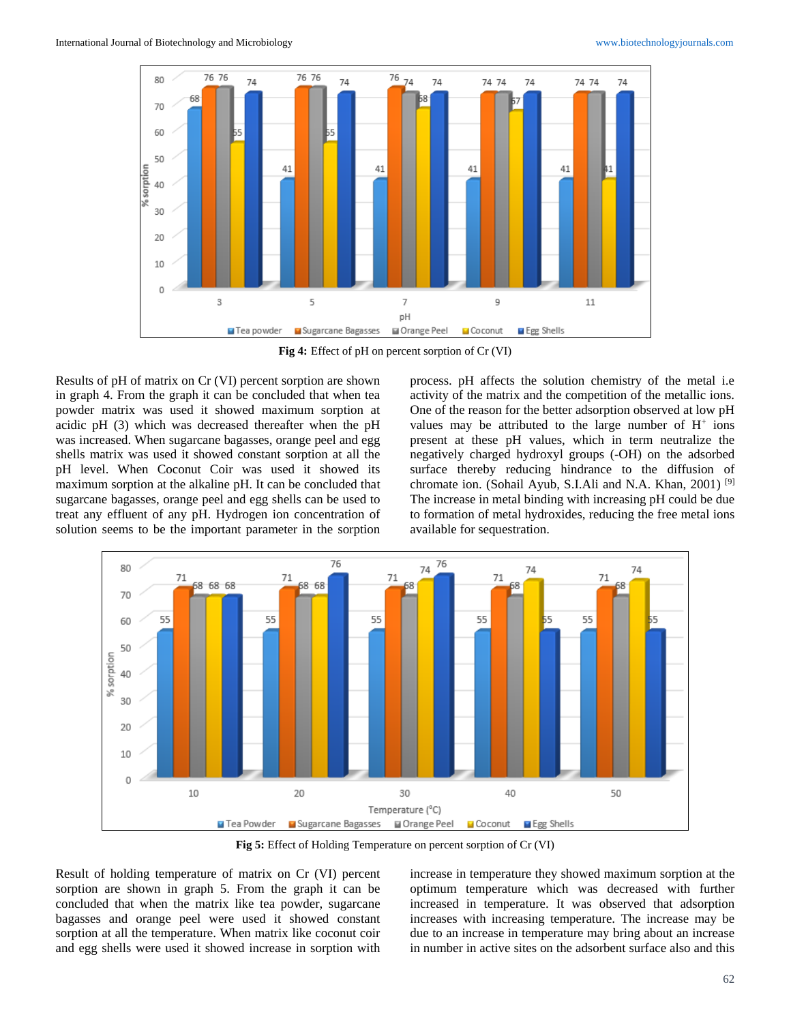

**Fig 4:** Effect of pH on percent sorption of Cr (VI)

Results of pH of matrix on Cr (VI) percent sorption are shown in graph 4. From the graph it can be concluded that when tea powder matrix was used it showed maximum sorption at acidic pH (3) which was decreased thereafter when the pH was increased. When sugarcane bagasses, orange peel and egg shells matrix was used it showed constant sorption at all the pH level. When Coconut Coir was used it showed its maximum sorption at the alkaline pH. It can be concluded that sugarcane bagasses, orange peel and egg shells can be used to treat any effluent of any pH. Hydrogen ion concentration of solution seems to be the important parameter in the sorption process. pH affects the solution chemistry of the metal i.e activity of the matrix and the competition of the metallic ions. One of the reason for the better adsorption observed at low pH values may be attributed to the large number of  $H^+$  ions present at these pH values, which in term neutralize the negatively charged hydroxyl groups (-OH) on the adsorbed surface thereby reducing hindrance to the diffusion of chromate ion. (Sohail Ayub, S.I.Ali and N.A. Khan, 2001)<sup>[9]</sup> The increase in metal binding with increasing pH could be due to formation of metal hydroxides, reducing the free metal ions available for sequestration.



**Fig 5:** Effect of Holding Temperature on percent sorption of Cr (VI)

Result of holding temperature of matrix on Cr (VI) percent sorption are shown in graph 5. From the graph it can be concluded that when the matrix like tea powder, sugarcane bagasses and orange peel were used it showed constant sorption at all the temperature. When matrix like coconut coir and egg shells were used it showed increase in sorption with

increase in temperature they showed maximum sorption at the optimum temperature which was decreased with further increased in temperature. It was observed that adsorption increases with increasing temperature. The increase may be due to an increase in temperature may bring about an increase in number in active sites on the adsorbent surface also and this